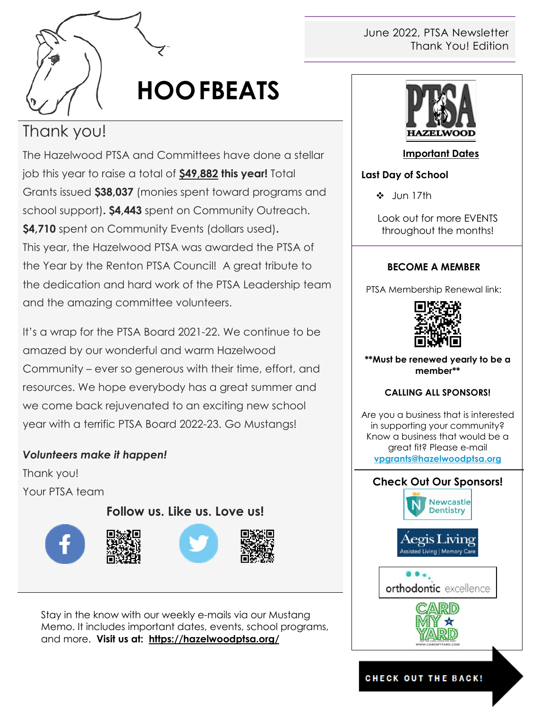

# **HOOFBEATS**

## Thank you!

The Hazelwood PTSA and Committees have done a stellar job this year to raise a total of **\$49,882 this year!** Total Grants issued **\$38,037** (monies spent toward programs and school support)**. \$4,443** spent on Community Outreach. **\$4,710** spent on Community Events (dollars used)**.** This year, the Hazelwood PTSA was awarded the PTSA of the Year by the Renton PTSA Council! A great tribute to the dedication and hard work of the PTSA Leadership team and the amazing committee volunteers.

It's a wrap for the PTSA Board 2021-22. We continue to be amazed by our wonderful and warm Hazelwood Community – ever so generous with their time, effort, and resources. We hope everybody has a great summer and we come back rejuvenated to an exciting new school year with a terrific PTSA Board 2022-23. Go Mustangs!

#### *Volunteers make it happen!*

Thank you! Your PTSA team

**Follow us. Like us. Love us!**







Stay in the know with our weekly e-mails via our Mustang Memo. It includes important dates, events, school programs, and more. **Visit us at: <https://hazelwoodptsa.org/>**

#### June 2022, PTSA Newsletter Thank You! Edition



#### **Important Dates**

#### **Last Day of School**

Jun 17th

Look out for more EVENTS throughout the months!

#### **BECOME A MEMBER**

PTSA Membership Renewal link:



**\*\*Must be renewed yearly to be a member\*\***

#### **CALLING ALL SPONSORS!**

Are you a business that is interested in supporting your community? Know a business that would be a great fit? Please e-mail **[vpgrants@hazelwoodptsa.org](mailto:vpgrants@hazelwoodptsa.org)**



#### **CHECK OUT THE BACK!**